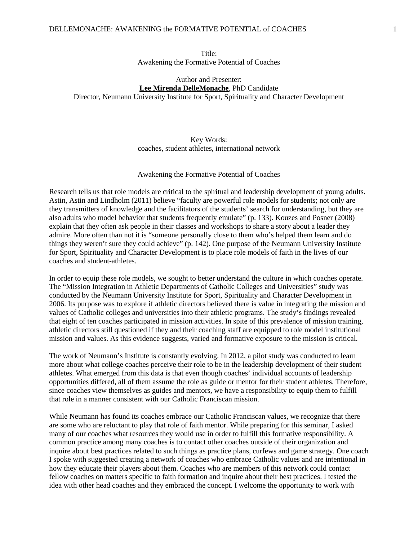#### DELLEMONACHE: AWAKENING the FORMATIVE POTENTIAL of COACHES 1

### Author and Presenter: **Lee Mirenda DelleMonache**, PhD Candidate

Director, Neumann University Institute for Sport, Spirituality and Character Development

# Key Words: coaches, student athletes, international network

### Awakening the Formative Potential of Coaches

Research tells us that role models are critical to the spiritual and leadership development of young adults. Astin, Astin and Lindholm (2011) believe "faculty are powerful role models for students; not only are they transmitters of knowledge and the facilitators of the students' search for understanding, but they are also adults who model behavior that students frequently emulate" (p. 133). Kouzes and Posner (2008) explain that they often ask people in their classes and workshops to share a story about a leader they admire. More often than not it is "someone personally close to them who's helped them learn and do things they weren't sure they could achieve" (p. 142). One purpose of the Neumann University Institute for Sport, Spirituality and Character Development is to place role models of faith in the lives of our coaches and student-athletes.

In order to equip these role models, we sought to better understand the culture in which coaches operate. The "Mission Integration in Athletic Departments of Catholic Colleges and Universities" study was conducted by the Neumann University Institute for Sport, Spirituality and Character Development in 2006. Its purpose was to explore if athletic directors believed there is value in integrating the mission and values of Catholic colleges and universities into their athletic programs. The study's findings revealed that eight of ten coaches participated in mission activities. In spite of this prevalence of mission training, athletic directors still questioned if they and their coaching staff are equipped to role model institutional mission and values. As this evidence suggests, varied and formative exposure to the mission is critical.

The work of Neumann's Institute is constantly evolving. In 2012, a pilot study was conducted to learn more about what college coaches perceive their role to be in the leadership development of their student athletes. What emerged from this data is that even though coaches' individual accounts of leadership opportunities differed, all of them assume the role as guide or mentor for their student athletes. Therefore, since coaches view themselves as guides and mentors, we have a responsibility to equip them to fulfill that role in a manner consistent with our Catholic Franciscan mission.

While Neumann has found its coaches embrace our Catholic Franciscan values, we recognize that there are some who are reluctant to play that role of faith mentor. While preparing for this seminar, I asked many of our coaches what resources they would use in order to fulfill this formative responsibility. A common practice among many coaches is to contact other coaches outside of their organization and inquire about best practices related to such things as practice plans, curfews and game strategy. One coach I spoke with suggested creating a network of coaches who embrace Catholic values and are intentional in how they educate their players about them. Coaches who are members of this network could contact fellow coaches on matters specific to faith formation and inquire about their best practices. I tested the idea with other head coaches and they embraced the concept. I welcome the opportunity to work with